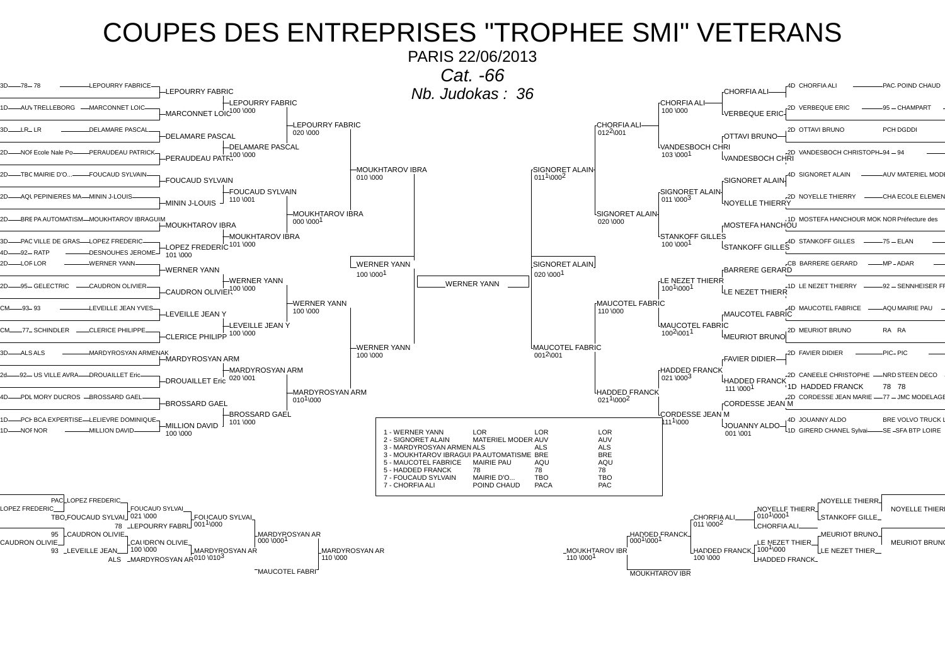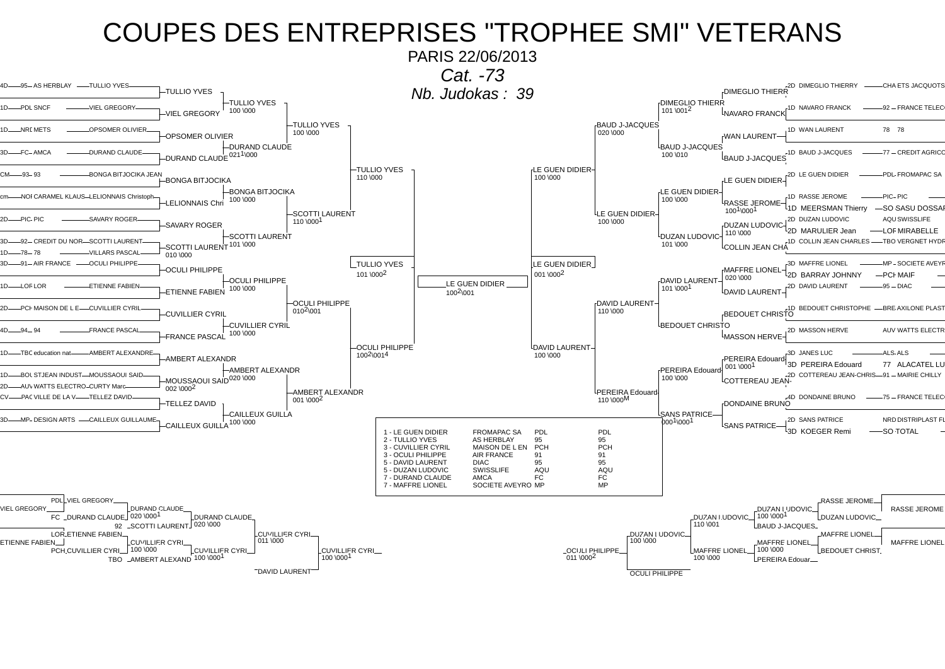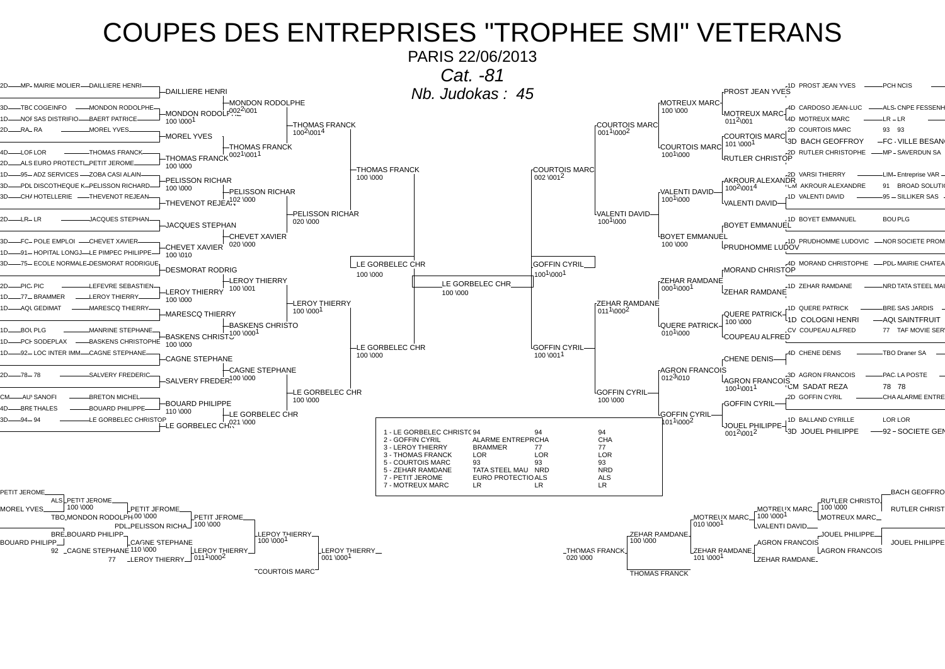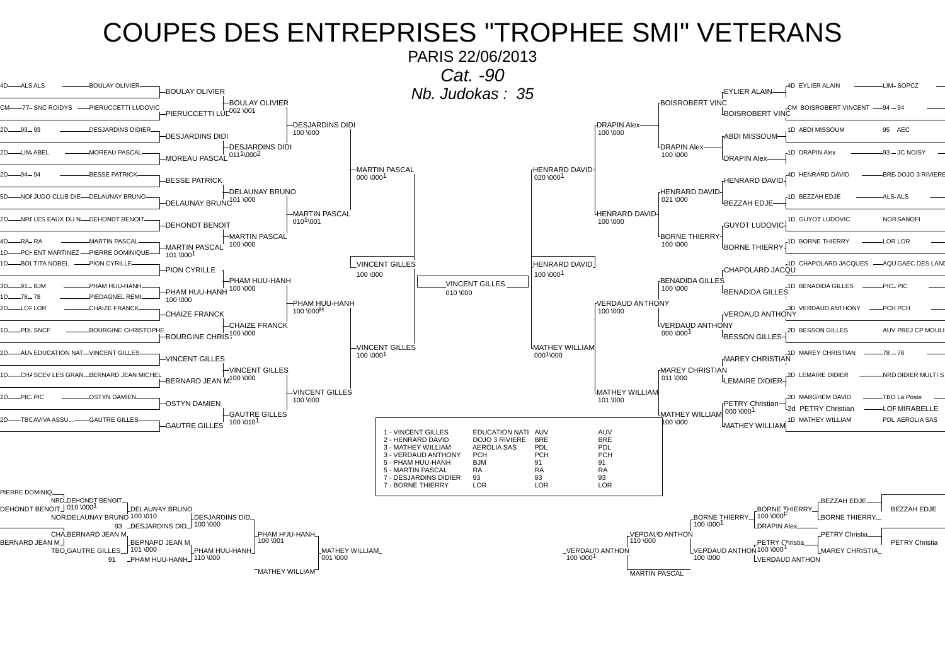